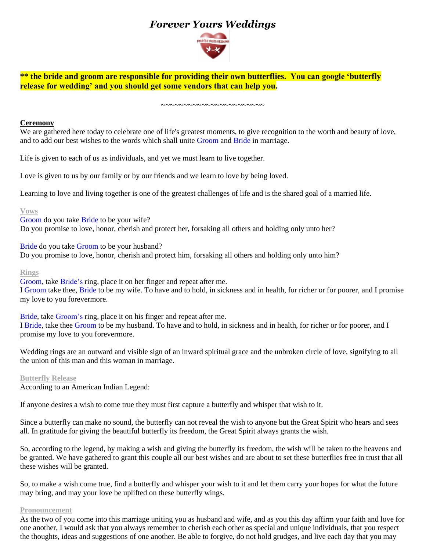# *Forever Yours Weddings*



**\*\* the bride and groom are responsible for providing their own butterflies. You can google 'butterfly release for wedding' and you should get some vendors that can help you.**

~~~~~~~~~~~~~~~~~~~~~~~

## **Ceremony**

We are gathered here today to celebrate one of life's greatest moments, to give recognition to the worth and beauty of love, and to add our best wishes to the words which shall unite Groom and Bride in marriage.

Life is given to each of us as individuals, and yet we must learn to live together.

Love is given to us by our family or by our friends and we learn to love by being loved.

Learning to love and living together is one of the greatest challenges of life and is the shared goal of a married life.

#### **Vows**

Groom do you take Bride to be your wife? Do you promise to love, honor, cherish and protect her, forsaking all others and holding only unto her?

Bride do you take Groom to be your husband?

Do you promise to love, honor*,* cherish and protect him, forsaking all others and holding only unto him?

#### **Rings**

Groom, take Bride's ring, place it on her finger and repeat after me. I Groom take thee, Bride to be my wife. To have and to hold, in sickness and in health, for richer or for poorer, and I promise my love to you forevermore.

Bride, take Groom's ring, place it on his finger and repeat after me.

I Bride, take thee Groom to be my husband. To have and to hold, in sickness and in health, for richer or for poorer, and I promise my love to you forevermore.

Wedding rings are an outward and visible sign of an inward spiritual grace and the unbroken circle of love, signifying to all the union of this man and this woman in marriage.

### **Butterfly Release**

According to an American Indian Legend:

If anyone desires a wish to come true they must first capture a butterfly and whisper that wish to it.

Since a butterfly can make no sound, the butterfly can not reveal the wish to anyone but the Great Spirit who hears and sees all. In gratitude for giving the beautiful butterfly its freedom, the Great Spirit always grants the wish.

So, according to the legend, by making a wish and giving the butterfly its freedom, the wish will be taken to the heavens and be granted. We have gathered to grant this couple all our best wishes and are about to set these butterflies free in trust that all these wishes will be granted.

So, to make a wish come true, find a butterfly and whisper your wish to it and let them carry your hopes for what the future may bring, and may your love be uplifted on these butterfly wings.

#### **Pronouncement**

As the two of you come into this marriage uniting you as husband and wife, and as you this day affirm your faith and love for one another, I would ask that you always remember to cherish each other as special and unique individuals, that you respect the thoughts, ideas and suggestions of one another. Be able to forgive, do not hold grudges, and live each day that you may